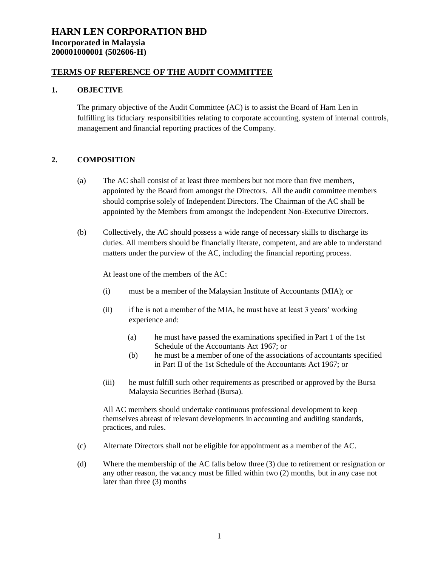### **TERMS OF REFERENCE OF THE AUDIT COMMITTEE**

### **1. OBJECTIVE**

The primary objective of the Audit Committee (AC) is to assist the Board of Harn Len in fulfilling its fiduciary responsibilities relating to corporate accounting, system of internal controls, management and financial reporting practices of the Company.

### **2. COMPOSITION**

- (a) The AC shall consist of at least three members but not more than five members, appointed by the Board from amongst the Directors. All the audit committee members should comprise solely of Independent Directors. The Chairman of the AC shall be appointed by the Members from amongst the Independent Non-Executive Directors.
- (b) Collectively, the AC should possess a wide range of necessary skills to discharge its duties. All members should be financially literate, competent, and are able to understand matters under the purview of the AC, including the financial reporting process.

At least one of the members of the AC:

- (i) must be a member of the Malaysian Institute of Accountants (MIA); or
- (ii) if he is not a member of the MIA, he must have at least 3 years' working experience and:
	- (a) he must have passed the examinations specified in Part 1 of the 1st Schedule of the Accountants Act 1967; or
	- (b) he must be a member of one of the associations of accountants specified in Part II of the 1st Schedule of the Accountants Act 1967; or
- (iii) he must fulfill such other requirements as prescribed or approved by the Bursa Malaysia Securities Berhad (Bursa).

All AC members should undertake continuous professional development to keep themselves abreast of relevant developments in accounting and auditing standards, practices, and rules.

- (c) Alternate Directors shall not be eligible for appointment as a member of the AC.
- (d) Where the membership of the AC falls below three (3) due to retirement or resignation or any other reason, the vacancy must be filled within two (2) months, but in any case not later than three (3) months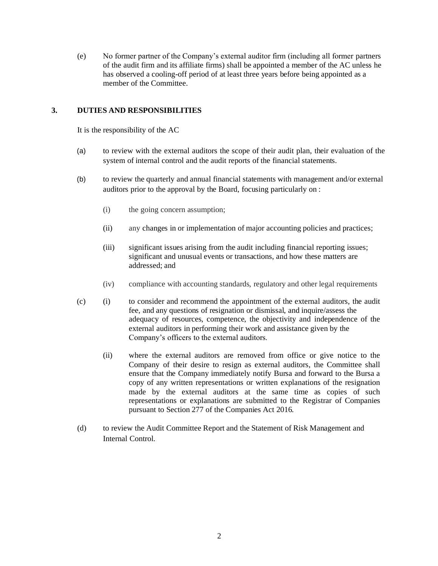(e) No former partner of the Company's external auditor firm (including all former partners of the audit firm and its affiliate firms) shall be appointed a member of the AC unless he has observed a cooling-off period of at least three years before being appointed as a member of the Committee.

### **3. DUTIES AND RESPONSIBILITIES**

It is the responsibility of the AC

- (a) to review with the external auditors the scope of their audit plan, their evaluation of the system of internal control and the audit reports of the financial statements.
- (b) to review the quarterly and annual financial statements with management and/or external auditors prior to the approval by the Board, focusing particularly on :
	- (i) the going concern assumption;
	- (ii) any changes in or implementation of major accounting policies and practices;
	- (iii) significant issues arising from the audit including financial reporting issues; significant and unusual events or transactions, and how these matters are addressed; and
	- (iv) compliance with accounting standards, regulatory and other legal requirements
- (c) (i) to consider and recommend the appointment of the external auditors, the audit fee, and any questions of resignation or dismissal, and inquire/assess the adequacy of resources, competence, the objectivity and independence of the external auditors in performing their work and assistance given by the Company's officers to the external auditors.
	- (ii) where the external auditors are removed from office or give notice to the Company of their desire to resign as external auditors, the Committee shall ensure that the Company immediately notify Bursa and forward to the Bursa a copy of any written representations or written explanations of the resignation made by the external auditors at the same time as copies of such representations or explanations are submitted to the Registrar of Companies pursuant to Section 277 of the Companies Act 2016.
- (d) to review the Audit Committee Report and the Statement of Risk Management and Internal Control.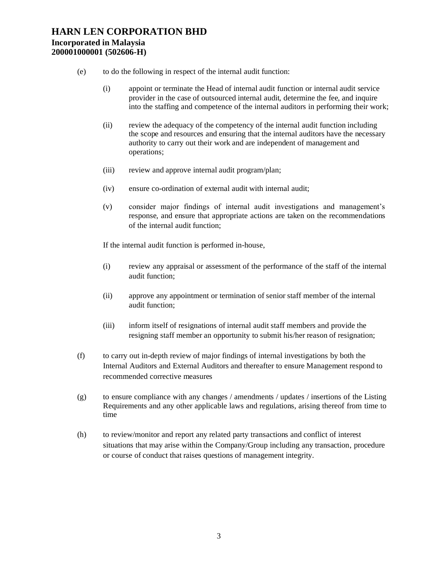- (e) to do the following in respect of the internal audit function:
	- (i) appoint or terminate the Head of internal audit function or internal audit service provider in the case of outsourced internal audit, determine the fee, and inquire into the staffing and competence of the internal auditors in performing their work;
	- (ii) review the adequacy of the competency of the internal audit function including the scope and resources and ensuring that the internal auditors have the necessary authority to carry out their work and are independent of management and operations;
	- (iii) review and approve internal audit program/plan;
	- (iv) ensure co-ordination of external audit with internal audit;
	- (v) consider major findings of internal audit investigations and management's response, and ensure that appropriate actions are taken on the recommendations of the internal audit function;

If the internal audit function is performed in-house,

- (i) review any appraisal or assessment of the performance of the staff of the internal audit function;
- (ii) approve any appointment or termination of senior staff member of the internal audit function;
- (iii) inform itself of resignations of internal audit staff members and provide the resigning staff member an opportunity to submit his/her reason of resignation;
- (f) to carry out in-depth review of major findings of internal investigations by both the Internal Auditors and External Auditors and thereafter to ensure Management respond to recommended corrective measures
- (g) to ensure compliance with any changes / amendments / updates / insertions of the Listing Requirements and any other applicable laws and regulations, arising thereof from time to time
- (h) to review/monitor and report any related party transactions and conflict of interest situations that may arise within the Company/Group including any transaction, procedure or course of conduct that raises questions of management integrity.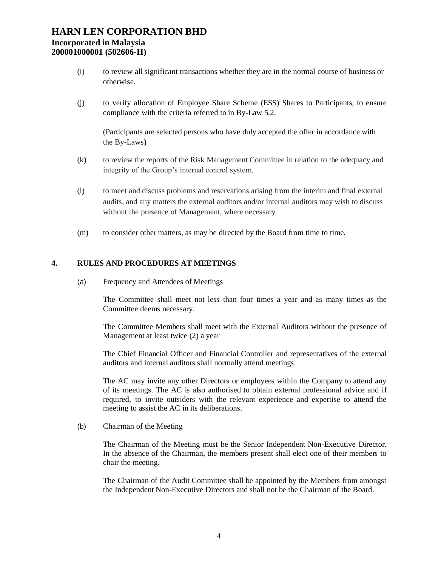- (i) to review all significant transactions whether they are in the normal course of business or otherwise.
- (j) to verify allocation of Employee Share Scheme (ESS) Shares to Participants, to ensure compliance with the criteria referred to in By-Law 5.2.

(Participants are selected persons who have duly accepted the offer in accordance with the By-Laws)

- (k) to review the reports of the Risk Management Committee in relation to the adequacy and integrity of the Group's internal control system.
- (l) to meet and discuss problems and reservations arising from the interim and final external audits, and any matters the external auditors and/or internal auditors may wish to discuss without the presence of Management, where necessary
- (m) to consider other matters, as may be directed by the Board from time to time.

### **4. RULES AND PROCEDURES AT MEETINGS**

(a) Frequency and Attendees of Meetings

The Committee shall meet not less than four times a year and as many times as the Committee deems necessary.

The Committee Members shall meet with the External Auditors without the presence of Management at least twice (2) a year

The Chief Financial Officer and Financial Controller and representatives of the external auditors and internal auditors shall normally attend meetings.

The AC may invite any other Directors or employees within the Company to attend any of its meetings. The AC is also authorised to obtain external professional advice and if required, to invite outsiders with the relevant experience and expertise to attend the meeting to assist the AC in its deliberations.

(b) Chairman of the Meeting

The Chairman of the Meeting must be the Senior Independent Non-Executive Director. In the absence of the Chairman, the members present shall elect one of their members to chair the meeting.

The Chairman of the Audit Committee shall be appointed by the Members from amongst the Independent Non-Executive Directors and shall not be the Chairman of the Board.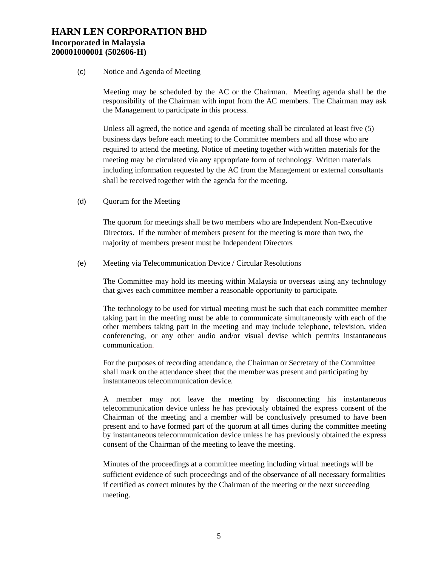#### (c) Notice and Agenda of Meeting

Meeting may be scheduled by the AC or the Chairman. Meeting agenda shall be the responsibility of the Chairman with input from the AC members. The Chairman may ask the Management to participate in this process.

Unless all agreed, the notice and agenda of meeting shall be circulated at least five (5) business days before each meeting to the Committee members and all those who are required to attend the meeting. Notice of meeting together with written materials for the meeting may be circulated via any appropriate form of technology. Written materials including information requested by the AC from the Management or external consultants shall be received together with the agenda for the meeting.

(d) Quorum for the Meeting

The quorum for meetings shall be two members who are Independent Non-Executive Directors. If the number of members present for the meeting is more than two, the majority of members present must be Independent Directors

(e) Meeting via Telecommunication Device / Circular Resolutions

The Committee may hold its meeting within Malaysia or overseas using any technology that gives each committee member a reasonable opportunity to participate.

The technology to be used for virtual meeting must be such that each committee member taking part in the meeting must be able to communicate simultaneously with each of the other members taking part in the meeting and may include telephone, television, video conferencing, or any other audio and/or visual devise which permits instantaneous communication.

For the purposes of recording attendance, the Chairman or Secretary of the Committee shall mark on the attendance sheet that the member was present and participating by instantaneous telecommunication device.

A member may not leave the meeting by disconnecting his instantaneous telecommunication device unless he has previously obtained the express consent of the Chairman of the meeting and a member will be conclusively presumed to have been present and to have formed part of the quorum at all times during the committee meeting by instantaneous telecommunication device unless he has previously obtained the express consent of the Chairman of the meeting to leave the meeting.

Minutes of the proceedings at a committee meeting including virtual meetings will be sufficient evidence of such proceedings and of the observance of all necessary formalities if certified as correct minutes by the Chairman of the meeting or the next succeeding meeting.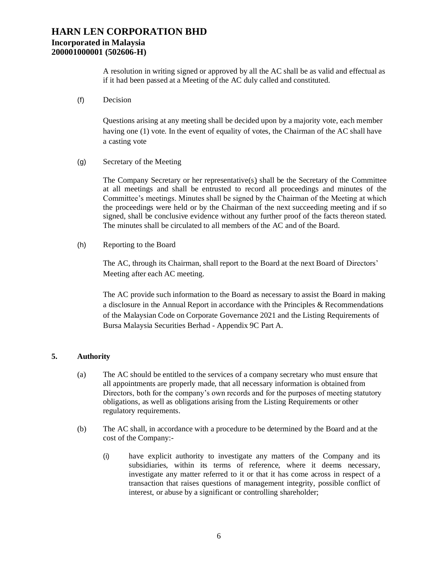A resolution in writing signed or approved by all the AC shall be as valid and effectual as if it had been passed at a Meeting of the AC duly called and constituted.

(f) Decision

Questions arising at any meeting shall be decided upon by a majority vote, each member having one (1) vote. In the event of equality of votes, the Chairman of the AC shall have a casting vote

#### (g) Secretary of the Meeting

The Company Secretary or her representative(s) shall be the Secretary of the Committee at all meetings and shall be entrusted to record all proceedings and minutes of the Committee's meetings. Minutes shall be signed by the Chairman of the Meeting at which the proceedings were held or by the Chairman of the next succeeding meeting and if so signed, shall be conclusive evidence without any further proof of the facts thereon stated. The minutes shall be circulated to all members of the AC and of the Board.

(h) Reporting to the Board

The AC, through its Chairman, shall report to the Board at the next Board of Directors' Meeting after each AC meeting.

The AC provide such information to the Board as necessary to assist the Board in making a disclosure in the Annual Report in accordance with the Principles & Recommendations of the Malaysian Code on Corporate Governance 2021 and the Listing Requirements of Bursa Malaysia Securities Berhad - Appendix 9C Part A.

### **5. Authority**

- (a) The AC should be entitled to the services of a company secretary who must ensure that all appointments are properly made, that all necessary information is obtained from Directors, both for the company's own records and for the purposes of meeting statutory obligations, as well as obligations arising from the Listing Requirements or other regulatory requirements.
- (b) The AC shall, in accordance with a procedure to be determined by the Board and at the cost of the Company:-
	- (i) have explicit authority to investigate any matters of the Company and its subsidiaries, within its terms of reference, where it deems necessary, investigate any matter referred to it or that it has come across in respect of a transaction that raises questions of management integrity, possible conflict of interest, or abuse by a significant or controlling shareholder;